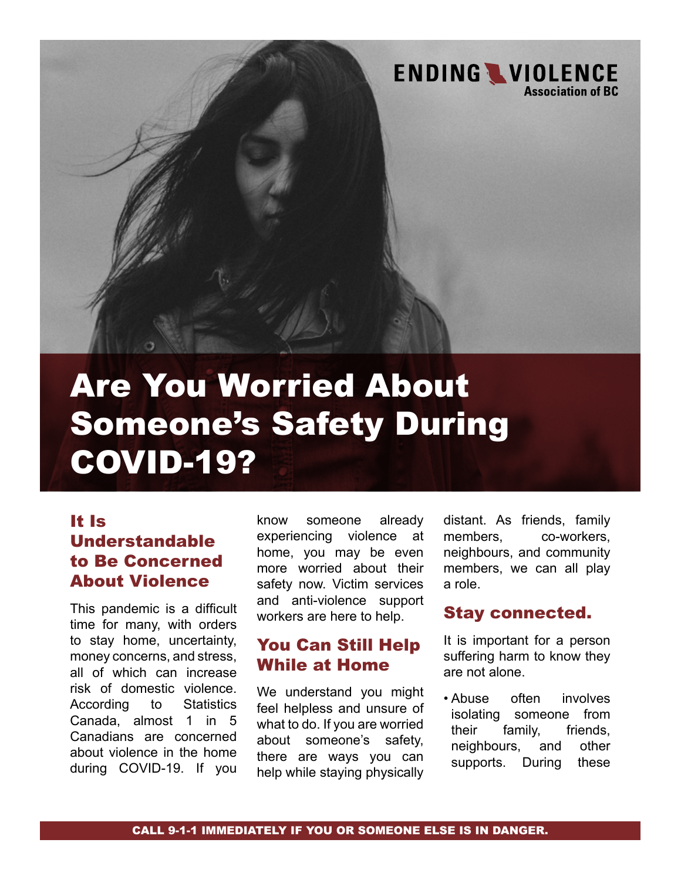

# Are You Worried About Someone's Safety During COVID-19?

# It Is Understandable to Be Concerned About Violence

This pandemic is a difficult time for many, with orders to stay home, uncertainty, money concerns, and stress, all of which can increase risk of domestic violence. According to Statistics Canada, almost 1 in 5 Canadians are concerned about violence in the home during COVID-19. If you

know someone already experiencing violence at home, you may be even more worried about their safety now. Victim services and anti-violence support workers are here to help.

### You Can Still Help While at Home

We understand you might feel helpless and unsure of what to do. If you are worried about someone's safety, there are ways you can help while staying physically distant. As friends, family members, co-workers, neighbours, and community members, we can all play a role.

#### Stay connected.

It is important for a person suffering harm to know they are not alone.

• Abuse often involves isolating someone from their family, friends, neighbours, and other supports. During these